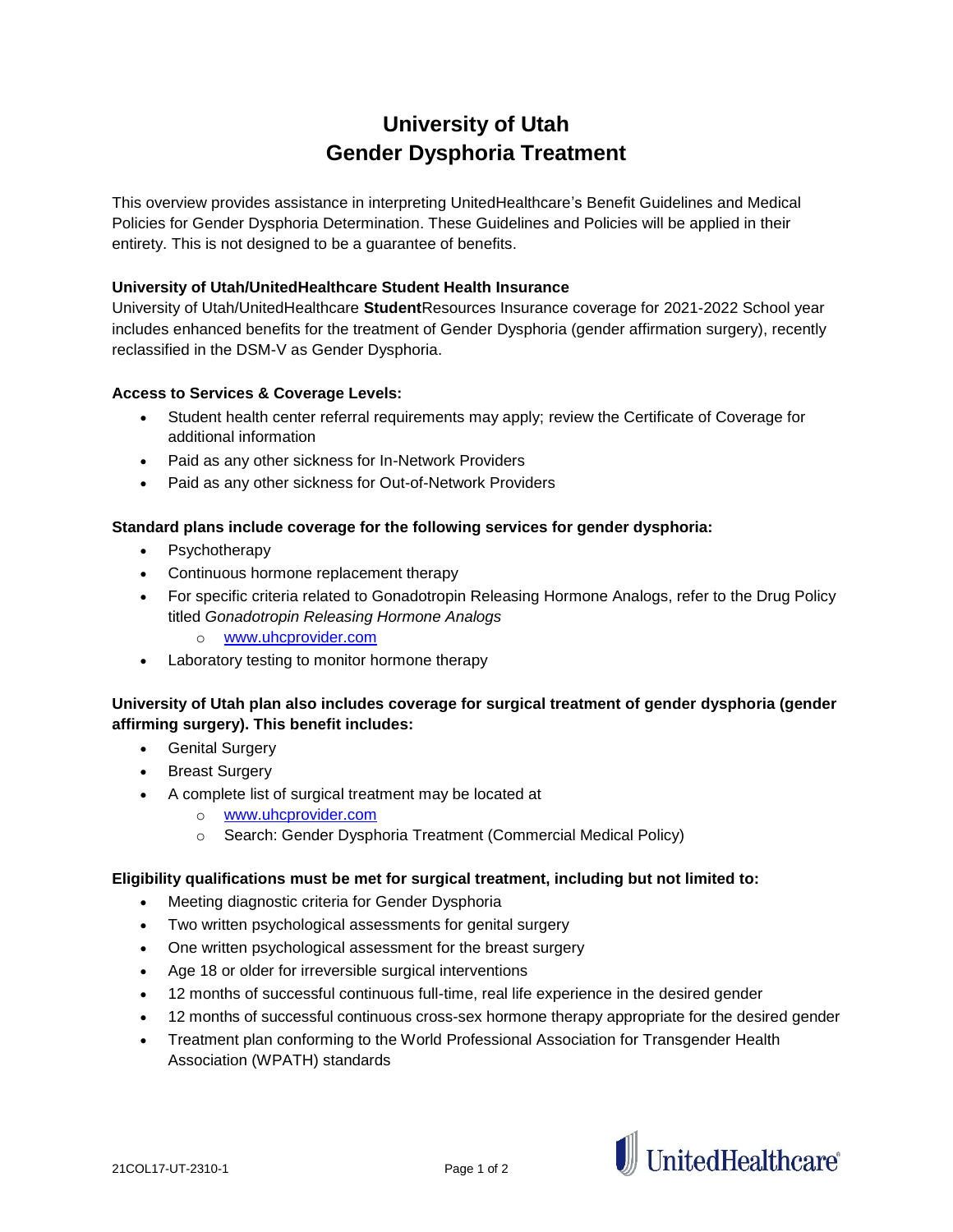# **University of Utah Gender Dysphoria Treatment**

This overview provides assistance in interpreting UnitedHealthcare's Benefit Guidelines and Medical Policies for Gender Dysphoria Determination. These Guidelines and Policies will be applied in their entirety. This is not designed to be a guarantee of benefits.

# **University of Utah/UnitedHealthcare Student Health Insurance**

University of Utah/UnitedHealthcare **Student**Resources Insurance coverage for 2021-2022 School year includes enhanced benefits for the treatment of Gender Dysphoria (gender affirmation surgery), recently reclassified in the DSM-V as Gender Dysphoria.

## **Access to Services & Coverage Levels:**

- Student health center referral requirements may apply; review the Certificate of Coverage for additional information
- Paid as any other sickness for In-Network Providers
- Paid as any other sickness for Out-of-Network Providers

## **Standard plans include coverage for the following services for gender dysphoria:**

- Psychotherapy
- Continuous hormone replacement therapy
- For specific criteria related to Gonadotropin Releasing Hormone Analogs, refer to the Drug Policy titled *Gonadotropin Releasing Hormone Analogs*
	- o [www.uhcprovider.com](http://www.uhcprovider.com/)
- Laboratory testing to monitor hormone therapy

# **University of Utah plan also includes coverage for surgical treatment of gender dysphoria (gender affirming surgery). This benefit includes:**

- **•** Genital Surgery
- Breast Surgery
- A complete list of surgical treatment may be located at
	- o [www.uhcprovider.com](http://www.uhcprovider.com/)
		- o Search: Gender Dysphoria Treatment (Commercial Medical Policy)

## **Eligibility qualifications must be met for surgical treatment, including but not limited to:**

- Meeting diagnostic criteria for Gender Dysphoria
- Two written psychological assessments for genital surgery
- One written psychological assessment for the breast surgery
- Age 18 or older for irreversible surgical interventions
- 12 months of successful continuous full-time, real life experience in the desired gender
- 12 months of successful continuous cross-sex hormone therapy appropriate for the desired gender
- Treatment plan conforming to the World Professional Association for Transgender Health Association (WPATH) standards